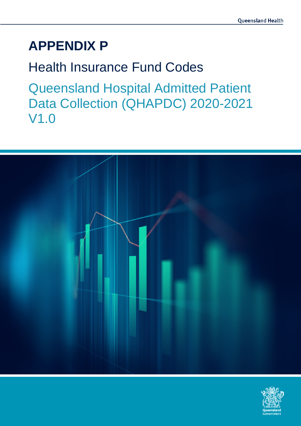# **APPENDIX P**

## Health Insurance Fund Codes

Queensland Hospital Admitted Patient Data Collection (QHAPDC) 2020-2021 V1.0



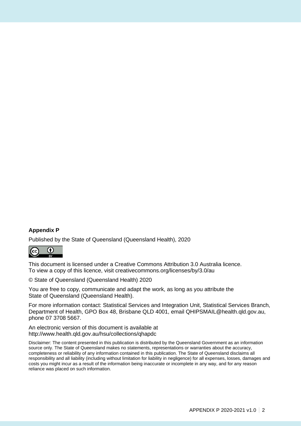#### **Appendix P**

Published by the State of Queensland (Queensland Health), 2020



This document is licensed under a Creative Commons Attribution 3.0 Australia licence. To view a copy of this licence, visit creativecommons.org/licenses/by/3.0/au

© State of Queensland (Queensland Health) 2020

You are free to copy, communicate and adapt the work, as long as you attribute the State of Queensland (Queensland Health).

For more information contact: Statistical Services and Integration Unit, Statistical Services Branch, Department of Health, GPO Box 48, Brisbane QLD 4001, email QHIPSMAIL@health.qld.gov.au, phone 07 3708 5667.

An electronic version of this document is available at http://www.health.qld.gov.au/hsu/collections/qhapdc

Disclaimer: The content presented in this publication is distributed by the Queensland Government as an information source only. The State of Queensland makes no statements, representations or warranties about the accuracy, completeness or reliability of any information contained in this publication. The State of Queensland disclaims all responsibility and all liability (including without limitation for liability in negligence) for all expenses, losses, damages and costs you might incur as a result of the information being inaccurate or incomplete in any way, and for any reason reliance was placed on such information.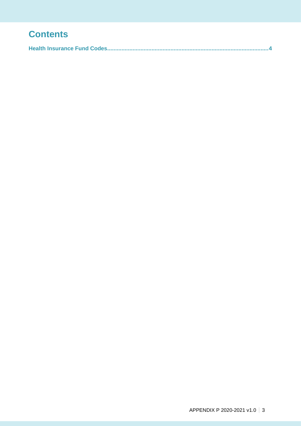### **Contents**

|--|--|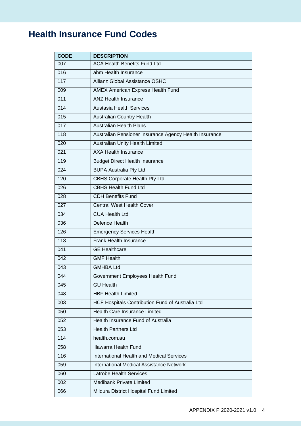## **Health Insurance Fund Codes**

| <b>CODE</b>      | <b>DESCRIPTION</b>                                     |
|------------------|--------------------------------------------------------|
| 007              | <b>ACA Health Benefits Fund Ltd</b>                    |
| 016              | ahm Health Insurance                                   |
| 117              | <b>Allianz Global Assistance OSHC</b>                  |
| 009              | AMEX American Express Health Fund                      |
| 011              | <b>ANZ Health Insurance</b>                            |
| $\overline{014}$ | <b>Austasia Health Services</b>                        |
| 015              | <b>Australian Country Health</b>                       |
| $\overline{017}$ | <b>Australian Health Plans</b>                         |
| 118              | Australian Pensioner Insurance Agency Health Insurance |
| 020              | Australian Unity Health Limited                        |
| 021              | <b>AXA Health Insurance</b>                            |
| 119              | <b>Budget Direct Health Insurance</b>                  |
| 024              | <b>BUPA Australia Pty Ltd</b>                          |
| 120              | <b>CBHS Corporate Health Pty Ltd</b>                   |
| 026              | <b>CBHS Health Fund Ltd</b>                            |
| 028              | <b>CDH Benefits Fund</b>                               |
| 027              | <b>Central West Health Cover</b>                       |
| 034              | <b>CUA Health Ltd</b>                                  |
| 036              | Defence Health                                         |
| 126              | <b>Emergency Services Health</b>                       |
| 113              | Frank Health Insurance                                 |
| 041              | <b>GE</b> Healthcare                                   |
| 042              | <b>GMF Health</b>                                      |
| 043              | <b>GMHBA Ltd</b>                                       |
| 044              | Government Employees Health Fund                       |
| 045              | <b>GU Health</b>                                       |
| 048              | <b>HBF Health Limited</b>                              |
| 003              | HCF Hospitals Contribution Fund of Australia Ltd       |
| 050              | <b>Health Care Insurance Limited</b>                   |
| 052              | Health Insurance Fund of Australia                     |
| 053              | <b>Health Partners Ltd</b>                             |
| 114              | health.com.au                                          |
| 058              | <b>Illawarra Health Fund</b>                           |
| 116              | <b>International Health and Medical Services</b>       |
| 059              | <b>International Medical Assistance Network</b>        |
| 060              | <b>Latrobe Health Services</b>                         |
| 002              | <b>Medibank Private Limited</b>                        |
| 066              | Mildura District Hospital Fund Limited                 |